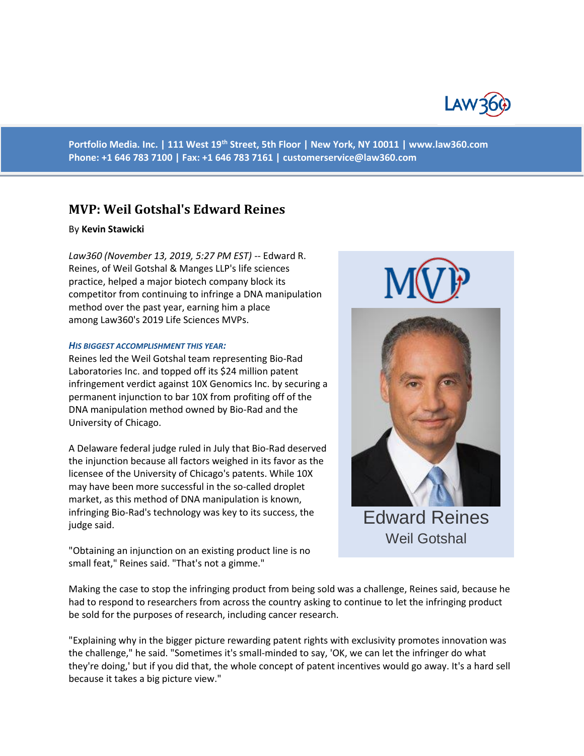

**Portfolio Media. Inc. | 111 West 19th Street, 5th Floor | New York, NY 10011 | www.law360.com Phone: +1 646 783 7100 | Fax: +1 646 783 7161 | [customerservice@law360.com](mailto:customerservice@law360.com)**

# **MVP: Weil Gotshal's Edward Reines**

### By **Kevin Stawicki**

*Law360 (November 13, 2019, 5:27 PM EST)* -- Edward R. Reines, of Weil Gotshal & Manges LLP's life sciences practice, helped a major biotech company block its competitor from continuing to infringe a DNA manipulation method over the past year, earning him a place among Law360's 2019 Life Sciences MVPs.

#### *HIS BIGGEST ACCOMPLISHMENT THIS YEAR:*

Reines led the Weil Gotshal team representing Bio-Rad Laboratories Inc. and topped off its \$24 million patent infringement verdict against 10X Genomics Inc. by securing a permanent injunction to bar 10X from profiting off of the DNA manipulation method owned by Bio-Rad and the University of Chicago.

A Delaware federal judge ruled in July that Bio-Rad deserved the injunction because all factors weighed in its favor as the licensee of the University of Chicago's patents. While 10X may have been more successful in the so-called droplet market, as this method of DNA manipulation is known, infringing Bio-Rad's technology was key to its success, the judge said.

Edward Reines Weil Gotshal

"Obtaining an injunction on an existing product line is no small feat," Reines said. "That's not a gimme."

Making the case to stop the infringing product from being sold was a challenge, Reines said, because he had to respond to researchers from across the country asking to continue to let the infringing product be sold for the purposes of research, including cancer research.

"Explaining why in the bigger picture rewarding patent rights with exclusivity promotes innovation was the challenge," he said. "Sometimes it's small-minded to say, 'OK, we can let the infringer do what they're doing,' but if you did that, the whole concept of patent incentives would go away. It's a hard sell because it takes a big picture view."